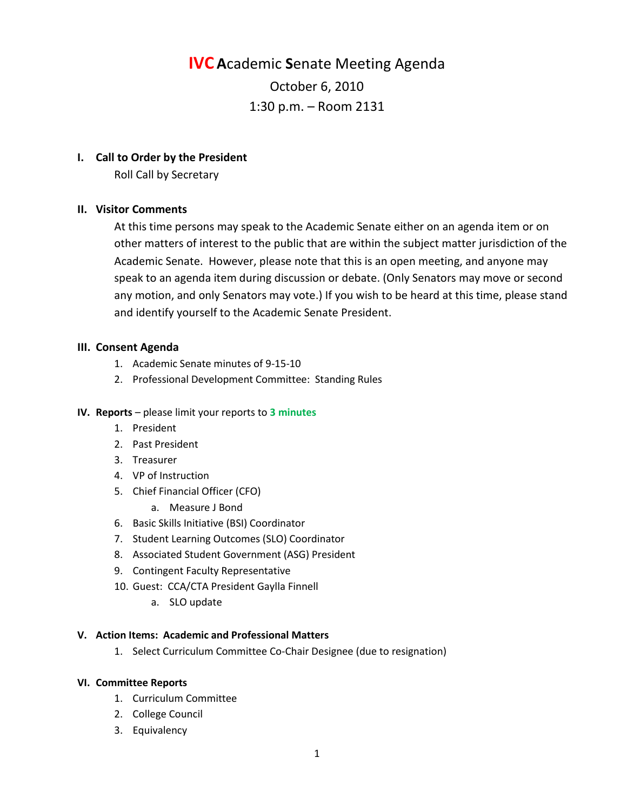# **IVC A**cademic **S**enate Meeting Agenda October 6, 2010 1:30 p.m. – Room 2131

#### **I. Call to Order by the President**

Roll Call by Secretary

## **II. Visitor Comments**

At this time persons may speak to the Academic Senate either on an agenda item or on other matters of interest to the public that are within the subject matter jurisdiction of the Academic Senate. However, please note that this is an open meeting, and anyone may speak to an agenda item during discussion or debate. (Only Senators may move or second any motion, and only Senators may vote.) If you wish to be heard at this time, please stand and identify yourself to the Academic Senate President.

## **III. Consent Agenda**

- 1. Academic Senate minutes of 9-15-10
- 2. Professional Development Committee: Standing Rules

#### **IV. Reports** – please limit your reports to **3 minutes**

- 1. President
- 2. Past President
- 3. Treasurer
- 4. VP of Instruction
- 5. Chief Financial Officer (CFO)
	- a. Measure J Bond
- 6. Basic Skills Initiative (BSI) Coordinator
- 7. Student Learning Outcomes (SLO) Coordinator
- 8. Associated Student Government (ASG) President
- 9. Contingent Faculty Representative
- 10. Guest: CCA/CTA President Gaylla Finnell
	- a. SLO update

#### **V. Action Items: Academic and Professional Matters**

1. Select Curriculum Committee Co-Chair Designee (due to resignation)

#### **VI. Committee Reports**

- 1. Curriculum Committee
- 2. College Council
- 3. Equivalency